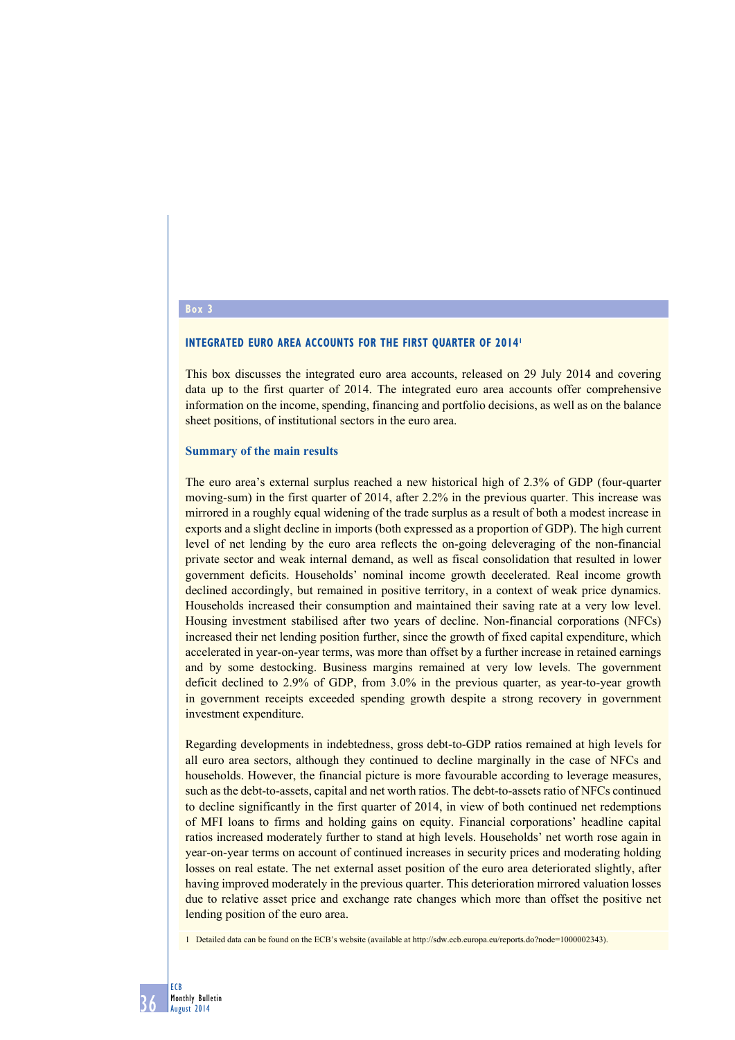# **Box 3**

# **INTEGRATED EURO AREA ACCOUNTS FOR THE FIRST QUARTER OF 2014<sup>1</sup>**

This box discusses the integrated euro area accounts, released on 29 July 2014 and covering data up to the first quarter of 2014. The integrated euro area accounts offer comprehensive information on the income, spending, financing and portfolio decisions, as well as on the balance sheet positions, of institutional sectors in the euro area.

### **Summary of the main results**

The euro area's external surplus reached a new historical high of 2.3% of GDP (four-quarter moving-sum) in the first quarter of 2014, after 2.2% in the previous quarter. This increase was mirrored in a roughly equal widening of the trade surplus as a result of both a modest increase in exports and a slight decline in imports (both expressed as a proportion of GDP). The high current level of net lending by the euro area reflects the on-going deleveraging of the non-financial private sector and weak internal demand, as well as fiscal consolidation that resulted in lower government deficits. Households' nominal income growth decelerated. Real income growth declined accordingly, but remained in positive territory, in a context of weak price dynamics. Households increased their consumption and maintained their saving rate at a very low level. Housing investment stabilised after two years of decline. Non-financial corporations (NFCs) increased their net lending position further, since the growth of fixed capital expenditure, which accelerated in year-on-year terms, was more than offset by a further increase in retained earnings and by some destocking. Business margins remained at very low levels. The government deficit declined to 2.9% of GDP, from 3.0% in the previous quarter, as year-to-year growth in government receipts exceeded spending growth despite a strong recovery in government investment expenditure.

Regarding developments in indebtedness, gross debt-to-GDP ratios remained at high levels for all euro area sectors, although they continued to decline marginally in the case of NFCs and households. However, the financial picture is more favourable according to leverage measures, such as the debt-to-assets, capital and net worth ratios. The debt-to-assets ratio of NFCs continued to decline significantly in the first quarter of 2014, in view of both continued net redemptions of MFI loans to firms and holding gains on equity. Financial corporations' headline capital ratios increased moderately further to stand at high levels. Households' net worth rose again in year-on-year terms on account of continued increases in security prices and moderating holding losses on real estate. The net external asset position of the euro area deteriorated slightly, after having improved moderately in the previous quarter. This deterioration mirrored valuation losses due to relative asset price and exchange rate changes which more than offset the positive net lending position of the euro area.

1 Detailed data can be found on the ECB's website (available at http://sdw.ecb.europa.eu/reports.do?node=1000002343).

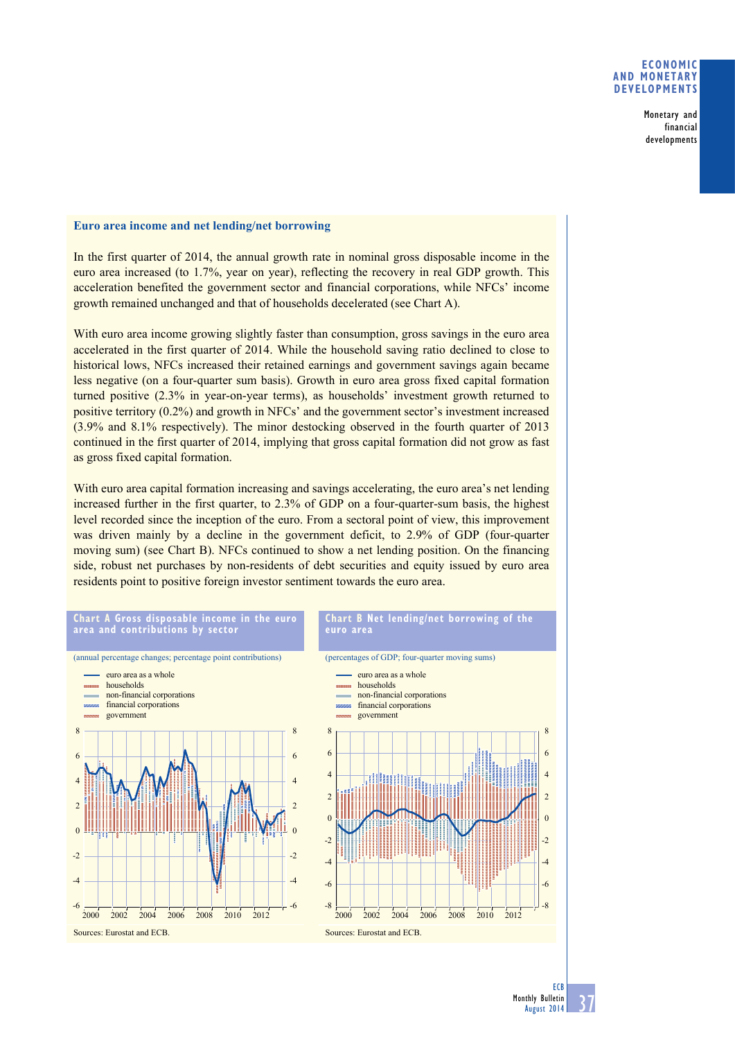# **Economic and monetary developments**

Monetary and financial developments

# **Euro area income and net lending/net borrowing**

In the first quarter of 2014, the annual growth rate in nominal gross disposable income in the euro area increased (to 1.7%, year on year), reflecting the recovery in real GDP growth. This acceleration benefited the government sector and financial corporations, while NFCs' income growth remained unchanged and that of households decelerated (see Chart A).

With euro area income growing slightly faster than consumption, gross savings in the euro area accelerated in the first quarter of 2014. While the household saving ratio declined to close to historical lows, NFCs increased their retained earnings and government savings again became less negative (on a four-quarter sum basis). Growth in euro area gross fixed capital formation turned positive (2.3% in year-on-year terms), as households' investment growth returned to positive territory (0.2%) and growth in NFCs' and the government sector's investment increased (3.9% and 8.1% respectively). The minor destocking observed in the fourth quarter of 2013 continued in the first quarter of 2014, implying that gross capital formation did not grow as fast as gross fixed capital formation.

With euro area capital formation increasing and savings accelerating, the euro area's net lending increased further in the first quarter, to 2.3% of GDP on a four-quarter-sum basis, the highest level recorded since the inception of the euro. From a sectoral point of view, this improvement was driven mainly by a decline in the government deficit, to 2.9% of GDP (four-quarter moving sum) (see Chart B). NFCs continued to show a net lending position. On the financing side, robust net purchases by non-residents of debt securities and equity issued by euro area residents point to positive foreign investor sentiment towards the euro area.



**ECB**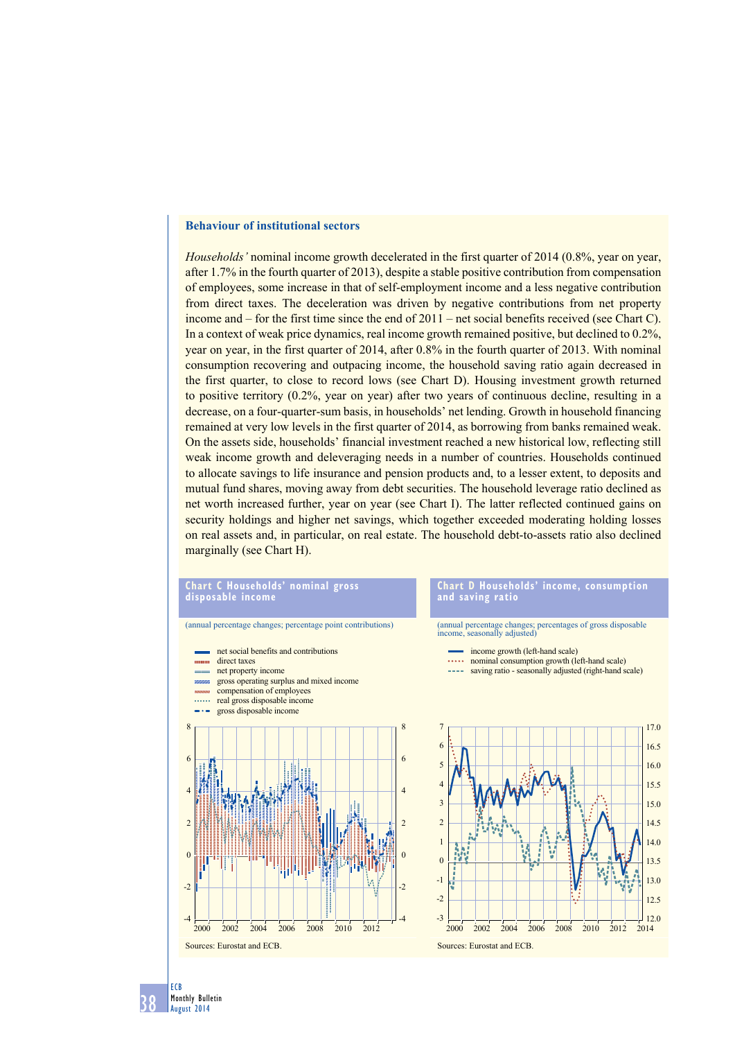# **Behaviour of institutional sectors**

*Households'* nominal income growth decelerated in the first quarter of 2014 (0.8%, year on year, after 1.7% in the fourth quarter of 2013), despite a stable positive contribution from compensation of employees, some increase in that of self-employment income and a less negative contribution from direct taxes. The deceleration was driven by negative contributions from net property income and – for the first time since the end of 2011 – net social benefits received (see Chart C). In a context of weak price dynamics, real income growth remained positive, but declined to 0.2%, year on year, in the first quarter of 2014, after 0.8% in the fourth quarter of 2013. With nominal consumption recovering and outpacing income, the household saving ratio again decreased in the first quarter, to close to record lows (see Chart D). Housing investment growth returned to positive territory (0.2%, year on year) after two years of continuous decline, resulting in a decrease, on a four-quarter-sum basis, in households' net lending. Growth in household financing remained at very low levels in the first quarter of 2014, as borrowing from banks remained weak. On the assets side, households' financial investment reached a new historical low, reflecting still weak income growth and deleveraging needs in a number of countries. Households continued to allocate savings to life insurance and pension products and, to a lesser extent, to deposits and mutual fund shares, moving away from debt securities. The household leverage ratio declined as net worth increased further, year on year (see Chart I). The latter reflected continued gains on security holdings and higher net savings, which together exceeded moderating holding losses on real assets and, in particular, on real estate. The household debt-to-assets ratio also declined marginally (see Chart H).

### **chart c households' nominal gross disposable income**

# (annual percentage changes; percentage point contributions)



### **Chart D Households' income, consumption and saving ratio**

(annual percentage changes; percentages of gross disposable income, seasonally adjusted)

- income growth (left-hand scale)
- **.....** nominal consumption growth (left-hand scale)
- saving ratio seasonally adjusted (right-hand scale)



38 ECB Monthly Bulletin August 2014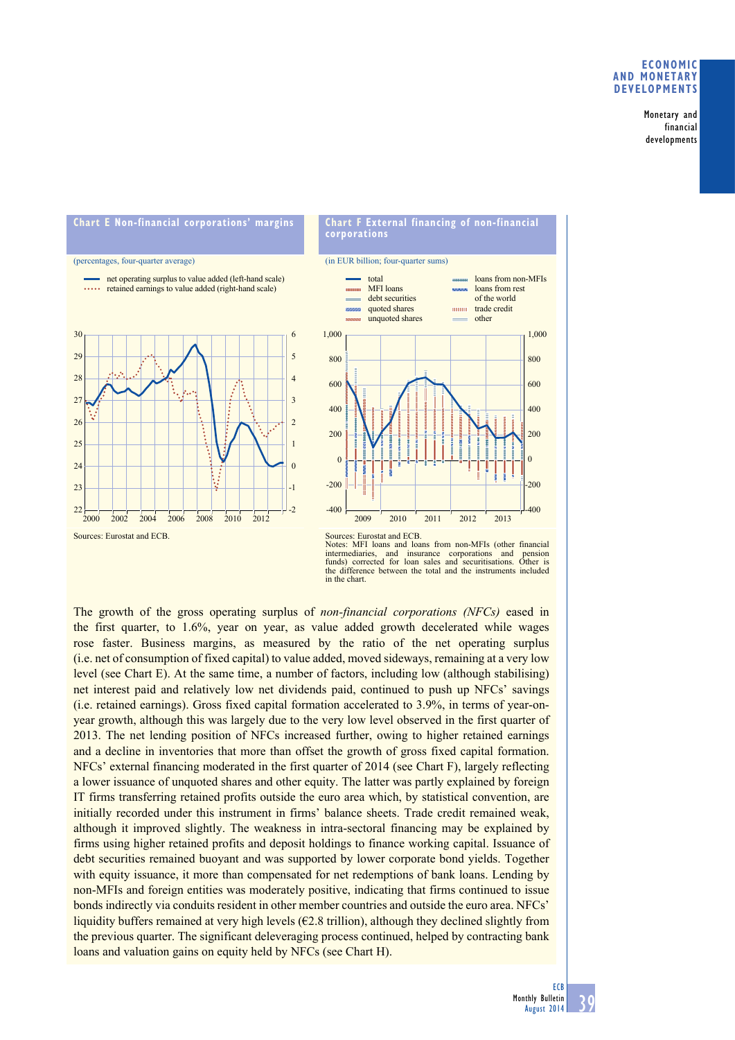## **Economic and monetary developments**

Monetary and financial developments







Sources: Eurostat and ECB. Notes: MFI loans and loans from non-MFIs (other financial intermediaries, and insurance corporations and pension funds) corrected for loan sales and securitisations. Other is intermediaries, and insurance corporations and pension funds) corrected for loan sales and securitisations. Other is the difference between the total and the instruments included in the chart.

The growth of the gross operating surplus of *non-financial corporations (NFCs)* eased in the first quarter, to 1.6%, year on year, as value added growth decelerated while wages rose faster. Business margins, as measured by the ratio of the net operating surplus (i.e. net of consumption of fixed capital) to value added, moved sideways, remaining at a very low level (see Chart E). At the same time, a number of factors, including low (although stabilising) net interest paid and relatively low net dividends paid, continued to push up NFCs' savings (i.e. retained earnings). Gross fixed capital formation accelerated to 3.9%, in terms of year-onyear growth, although this was largely due to the very low level observed in the first quarter of 2013. The net lending position of NFCs increased further, owing to higher retained earnings and a decline in inventories that more than offset the growth of gross fixed capital formation. NFCs' external financing moderated in the first quarter of 2014 (see Chart F), largely reflecting a lower issuance of unquoted shares and other equity. The latter was partly explained by foreign IT firms transferring retained profits outside the euro area which, by statistical convention, are initially recorded under this instrument in firms' balance sheets. Trade credit remained weak, although it improved slightly. The weakness in intra-sectoral financing may be explained by firms using higher retained profits and deposit holdings to finance working capital. Issuance of debt securities remained buoyant and was supported by lower corporate bond yields. Together with equity issuance, it more than compensated for net redemptions of bank loans. Lending by non-MFIs and foreign entities was moderately positive, indicating that firms continued to issue bonds indirectly via conduits resident in other member countries and outside the euro area. NFCs' liquidity buffers remained at very high levels  $(E2.8 \text{ trillion})$ , although they declined slightly from the previous quarter. The significant deleveraging process continued, helped by contracting bank loans and valuation gains on equity held by NFCs (see Chart H).

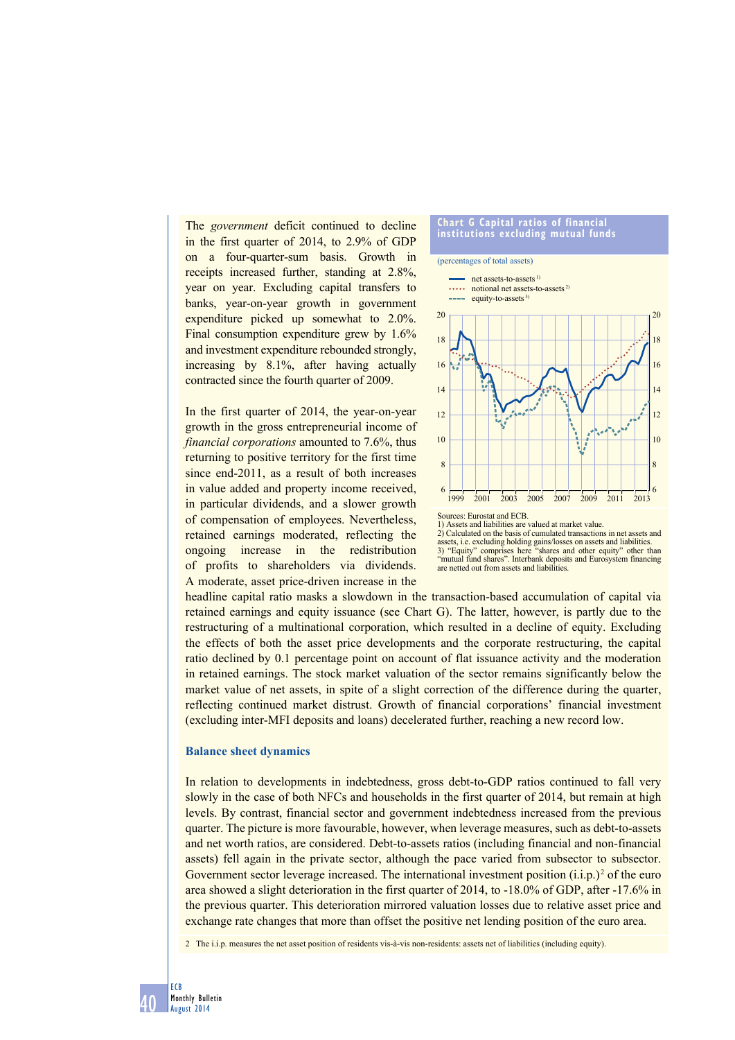The *government* deficit continued to decline in the first quarter of 2014, to 2.9% of GDP on a four-quarter-sum basis. Growth in receipts increased further, standing at 2.8%, year on year. Excluding capital transfers to banks, year-on-year growth in government expenditure picked up somewhat to 2.0%. Final consumption expenditure grew by 1.6% and investment expenditure rebounded strongly, increasing by 8.1%, after having actually contracted since the fourth quarter of 2009.

In the first quarter of 2014, the year-on-year growth in the gross entrepreneurial income of *financial corporations* amounted to 7.6%, thus returning to positive territory for the first time since end-2011, as a result of both increases in value added and property income received, in particular dividends, and a slower growth of compensation of employees. Nevertheless, retained earnings moderated, reflecting the ongoing increase in the redistribution of profits to shareholders via dividends. A moderate, asset price-driven increase in the



2) Calculated on the basis of cumulated transactions in net assets and assets, i.e. excluding holding gains/losses on assets and liabilities.<br>3) "Equity" comprises here "shares and other equity" other the 3) "Equity" comprises here "shares and other equity" other than "mutual fund shares". Interbank deposits and Eurosystem financing are netted out from assets and liabilities.

headline capital ratio masks a slowdown in the transaction-based accumulation of capital via retained earnings and equity issuance (see Chart G). The latter, however, is partly due to the restructuring of a multinational corporation, which resulted in a decline of equity. Excluding the effects of both the asset price developments and the corporate restructuring, the capital ratio declined by 0.1 percentage point on account of flat issuance activity and the moderation in retained earnings. The stock market valuation of the sector remains significantly below the market value of net assets, in spite of a slight correction of the difference during the quarter, reflecting continued market distrust. Growth of financial corporations' financial investment (excluding inter-MFI deposits and loans) decelerated further, reaching a new record low.

### **Balance sheet dynamics**

In relation to developments in indebtedness, gross debt-to-GDP ratios continued to fall very slowly in the case of both NFCs and households in the first quarter of 2014, but remain at high levels. By contrast, financial sector and government indebtedness increased from the previous quarter. The picture is more favourable, however, when leverage measures, such as debt-to-assets and net worth ratios, are considered. Debt-to-assets ratios (including financial and non-financial assets) fell again in the private sector, although the pace varied from subsector to subsector. Government sector leverage increased. The international investment position  $(i.i.p.)<sup>2</sup>$  of the euro area showed a slight deterioration in the first quarter of 2014, to -18.0% of GDP, after -17.6% in the previous quarter. This deterioration mirrored valuation losses due to relative asset price and exchange rate changes that more than offset the positive net lending position of the euro area.

2 The i.i.p. measures the net asset position of residents vis-à-vis non-residents: assets net of liabilities (including equity).